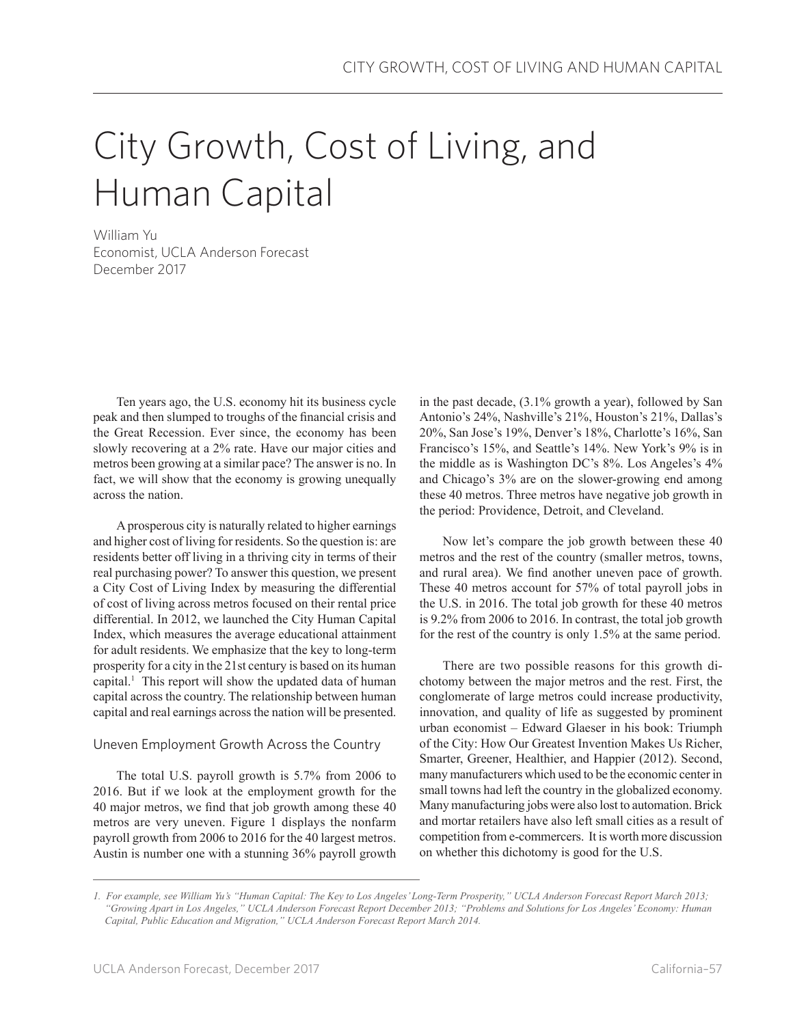# City Growth, Cost of Living, and Human Capital

William Yu Economist, UCLA Anderson Forecast December 2017

Ten years ago, the U.S. economy hit its business cycle peak and then slumped to troughs of the financial crisis and the Great Recession. Ever since, the economy has been slowly recovering at a 2% rate. Have our major cities and metros been growing at a similar pace? The answer is no. In fact, we will show that the economy is growing unequally across the nation.

A prosperous city is naturally related to higher earnings and higher cost of living for residents. So the question is: are residents better off living in a thriving city in terms of their real purchasing power? To answer this question, we present a City Cost of Living Index by measuring the differential of cost of living across metros focused on their rental price differential. In 2012, we launched the City Human Capital Index, which measures the average educational attainment for adult residents. We emphasize that the key to long-term prosperity for a city in the 21st century is based on its human capital.1 This report will show the updated data of human capital across the country. The relationship between human capital and real earnings across the nation will be presented.

## Uneven Employment Growth Across the Country

The total U.S. payroll growth is 5.7% from 2006 to 2016. But if we look at the employment growth for the 40 major metros, we find that job growth among these 40 metros are very uneven. Figure 1 displays the nonfarm payroll growth from 2006 to 2016 for the 40 largest metros. Austin is number one with a stunning 36% payroll growth in the past decade, (3.1% growth a year), followed by San Antonio's 24%, Nashville's 21%, Houston's 21%, Dallas's 20%, San Jose's 19%, Denver's 18%, Charlotte's 16%, San Francisco's 15%, and Seattle's 14%. New York's 9% is in the middle as is Washington DC's 8%. Los Angeles's 4% and Chicago's 3% are on the slower-growing end among these 40 metros. Three metros have negative job growth in the period: Providence, Detroit, and Cleveland.

Now let's compare the job growth between these 40 metros and the rest of the country (smaller metros, towns, and rural area). We find another uneven pace of growth. These 40 metros account for 57% of total payroll jobs in the U.S. in 2016. The total job growth for these 40 metros is 9.2% from 2006 to 2016. In contrast, the total job growth for the rest of the country is only 1.5% at the same period.

There are two possible reasons for this growth dichotomy between the major metros and the rest. First, the conglomerate of large metros could increase productivity, innovation, and quality of life as suggested by prominent urban economist – Edward Glaeser in his book: Triumph of the City: How Our Greatest Invention Makes Us Richer, Smarter, Greener, Healthier, and Happier (2012). Second, many manufacturers which used to be the economic center in small towns had left the country in the globalized economy. Many manufacturing jobs were also lost to automation. Brick and mortar retailers have also left small cities as a result of competition from e-commercers. It is worth more discussion on whether this dichotomy is good for the U.S.

*<sup>1.</sup> For example, see William Yu's "Human Capital: The Key to Los Angeles' Long-Term Prosperity," UCLA Anderson Forecast Report March 2013; "Growing Apart in Los Angeles," UCLA Anderson Forecast Report December 2013; "Problems and Solutions for Los Angeles' Economy: Human Capital, Public Education and Migration," UCLA Anderson Forecast Report March 2014.*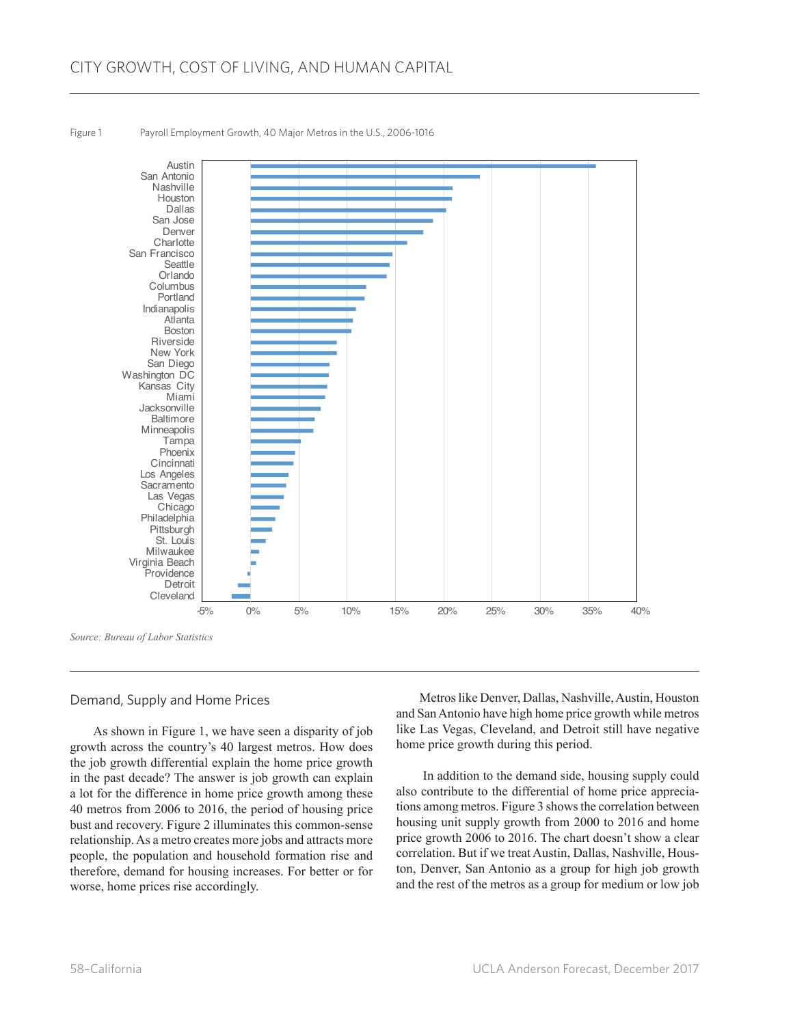

Figure 1 Payroll Employment Growth, 40 Major Metros in the U.S., 2006-1016

#### Demand, Supply and Home Prices

As shown in Figure 1, we have seen a disparity of job growth across the country's 40 largest metros. How does the job growth differential explain the home price growth in the past decade? The answer is job growth can explain a lot for the difference in home price growth among these 40 metros from 2006 to 2016, the period of housing price bust and recovery. Figure 2 illuminates this common-sense relationship. As a metro creates more jobs and attracts more people, the population and household formation rise and therefore, demand for housing increases. For better or for worse, home prices rise accordingly.

Metros like Denver, Dallas, Nashville, Austin, Houston and San Antonio have high home price growth while metros like Las Vegas, Cleveland, and Detroit still have negative home price growth during this period.

 In addition to the demand side, housing supply could also contribute to the differential of home price appreciations among metros. Figure 3 shows the correlation between housing unit supply growth from 2000 to 2016 and home price growth 2006 to 2016. The chart doesn't show a clear correlation. But if we treat Austin, Dallas, Nashville, Houston, Denver, San Antonio as a group for high job growth and the rest of the metros as a group for medium or low job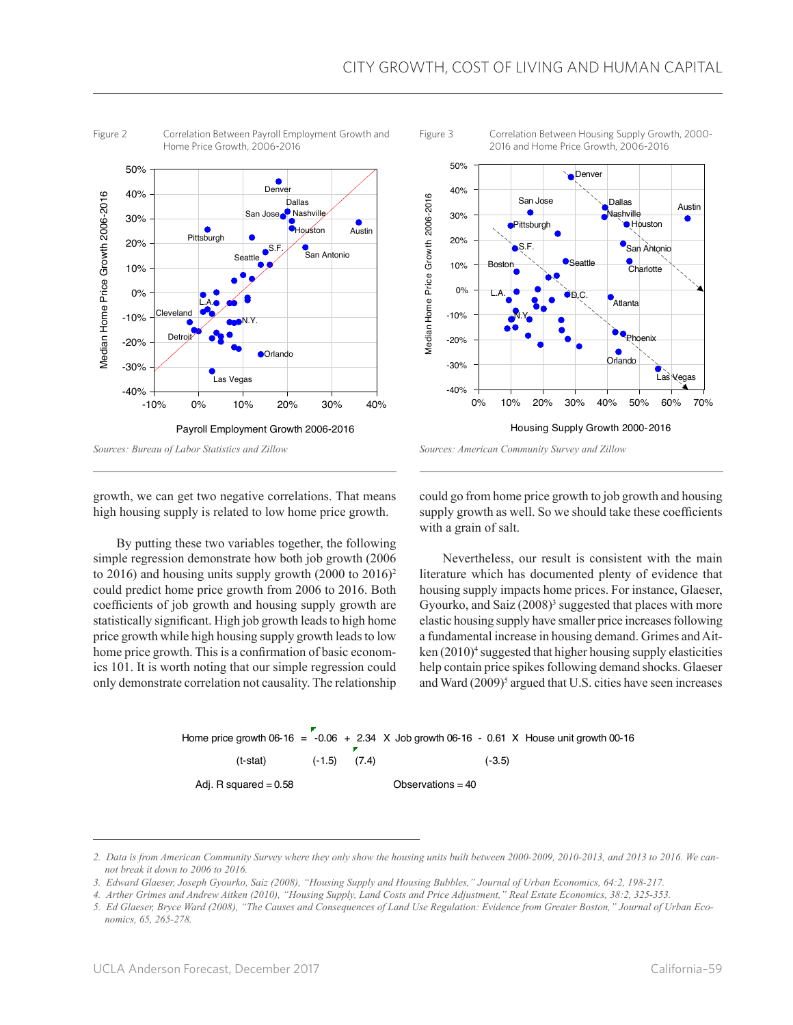



Figure 3 Correlation Between Housing Supply Growth, 2000- 2016 and Home Price Growth, 2006-2016



*Sources: American Community Survey and Zillow*

growth, we can get two negative correlations. That means high housing supply is related to low home price growth.

By putting these two variables together, the following simple regression demonstrate how both job growth (2006 to 2016) and housing units supply growth  $(2000 \text{ to } 2016)^2$ could predict home price growth from 2006 to 2016. Both coefficients of job growth and housing supply growth are statistically significant. High job growth leads to high home price growth while high housing supply growth leads to low home price growth. This is a confirmation of basic economics 101. It is worth noting that our simple regression could only demonstrate correlation not causality. The relationship

could go from home price growth to job growth and housing supply growth as well. So we should take these coefficients with a grain of salt.

Nevertheless, our result is consistent with the main literature which has documented plenty of evidence that housing supply impacts home prices. For instance, Glaeser, Gyourko, and Saiz  $(2008)^3$  suggested that places with more elastic housing supply have smaller price increases following a fundamental increase in housing demand. Grimes and Aitken (2010)<sup>4</sup> suggested that higher housing supply elasticities help contain price spikes following demand shocks. Glaeser and Ward (2009)<sup>5</sup> argued that U.S. cities have seen increases

# Home price growth 06-16  $=$  -0.06  $+$  2.34 X Job growth 06-16 - 0.61 X House unit growth 00-16 (t-stat) (-1.5) (7.4) (-3.5) Adj. R squared = 0.58 Observations = 40

*<sup>2.</sup> Data is from American Community Survey where they only show the housing units built between 2000-2009, 2010-2013, and 2013 to 2016. We cannot break it down to 2006 to 2016.*

*<sup>3.</sup> Edward Glaeser, Joseph Gyourko, Saiz (2008), "Housing Supply and Housing Bubbles," Journal of Urban Economics, 64:2, 198-217.*

*<sup>4.</sup> Arther Grimes and Andrew Aitken (2010), "Housing Supply, Land Costs and Price Adjustment," Real Estate Economics, 38:2, 325-353.*

*<sup>5.</sup> Ed Glaeser, Bryce Ward (2008), "The Causes and Consequences of Land Use Regulation: Evidence from Greater Boston," Journal of Urban Economics, 65, 265-278.*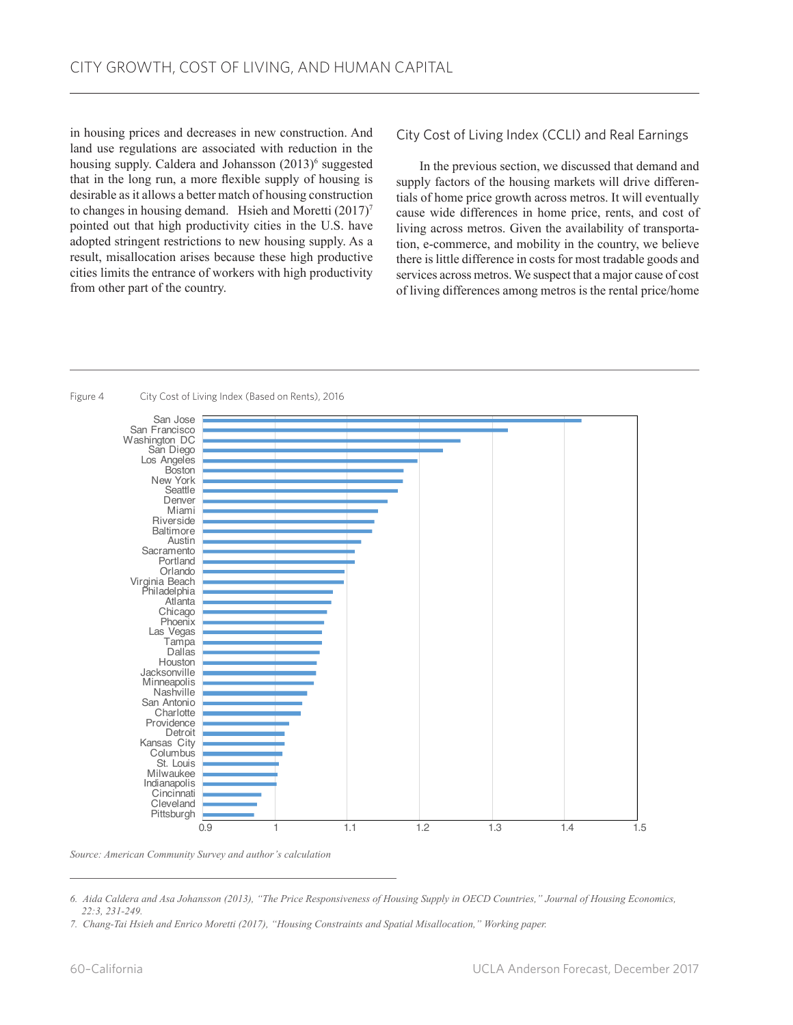in housing prices and decreases in new construction. And land use regulations are associated with reduction in the housing supply. Caldera and Johansson (2013)<sup>6</sup> suggested that in the long run, a more flexible supply of housing is desirable as it allows a better match of housing construction to changes in housing demand. Hsieh and Moretti (2017)<sup>7</sup> pointed out that high productivity cities in the U.S. have adopted stringent restrictions to new housing supply. As a result, misallocation arises because these high productive cities limits the entrance of workers with high productivity from other part of the country.

City Cost of Living Index (CCLI) and Real Earnings

In the previous section, we discussed that demand and supply factors of the housing markets will drive differentials of home price growth across metros. It will eventually cause wide differences in home price, rents, and cost of living across metros. Given the availability of transportation, e-commerce, and mobility in the country, we believe there is little difference in costs for most tradable goods and services across metros. We suspect that a major cause of cost of living differences among metros is the rental price/home



Figure 4 City Cost of Living Index (Based on Rents), 2016

*Source: American Community Survey and author's calculation*

*<sup>6.</sup> Aida Caldera and Asa Johansson (2013), "The Price Responsiveness of Housing Supply in OECD Countries," Journal of Housing Economics, 22:3, 231-249.*

*<sup>7.</sup> Chang-Tai Hsieh and Enrico Moretti (2017), "Housing Constraints and Spatial Misallocation," Working paper.*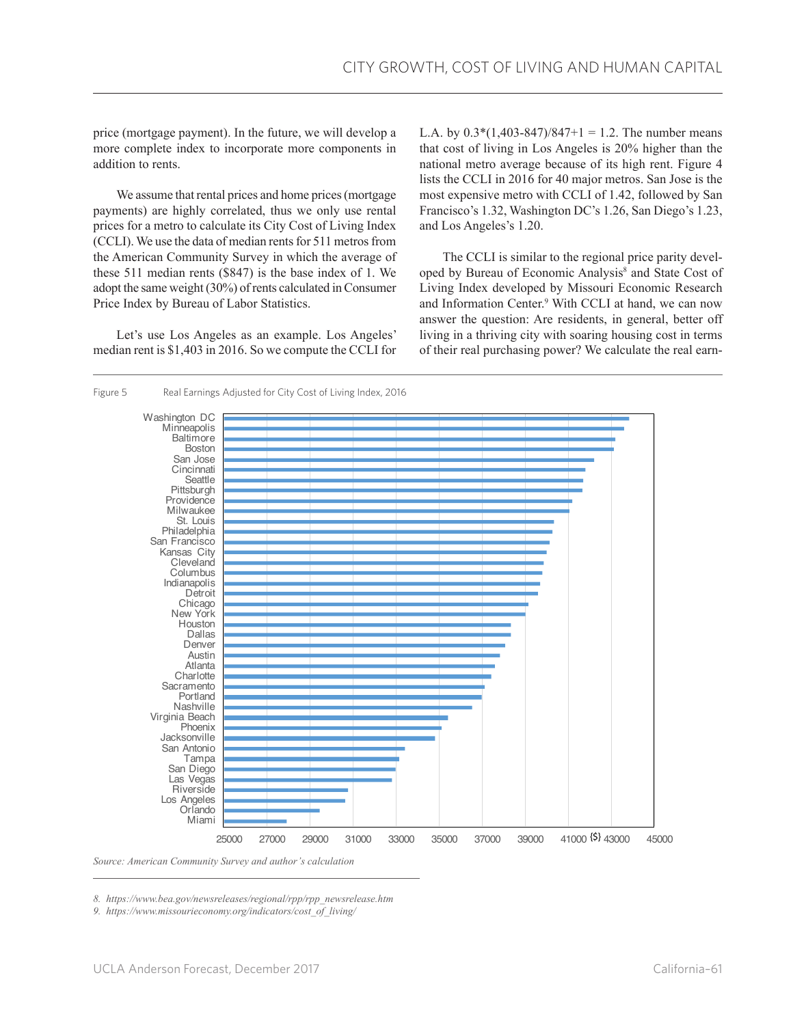price (mortgage payment). In the future, we will develop a more complete index to incorporate more components in addition to rents.

We assume that rental prices and home prices (mortgage payments) are highly correlated, thus we only use rental prices for a metro to calculate its City Cost of Living Index (CCLI). We use the data of median rents for 511 metros from the American Community Survey in which the average of these 511 median rents (\$847) is the base index of 1. We adopt the same weight (30%) of rents calculated in Consumer Price Index by Bureau of Labor Statistics.

Let's use Los Angeles as an example. Los Angeles' median rent is \$1,403 in 2016. So we compute the CCLI for

L.A. by  $0.3*(1,403-847)/847+1 = 1.2$ . The number means that cost of living in Los Angeles is 20% higher than the national metro average because of its high rent. Figure 4 lists the CCLI in 2016 for 40 major metros. San Jose is the most expensive metro with CCLI of 1.42, followed by San Francisco's 1.32, Washington DC's 1.26, San Diego's 1.23, and Los Angeles's 1.20.

The CCLI is similar to the regional price parity developed by Bureau of Economic Analysis<sup>8</sup> and State Cost of Living Index developed by Missouri Economic Research and Information Center.9 With CCLI at hand, we can now answer the question: Are residents, in general, better off living in a thriving city with soaring housing cost in terms of their real purchasing power? We calculate the real earn-



*8. https://www.bea.gov/newsreleases/regional/rpp/rpp\_newsrelease.htm*

*9. https://www.missourieconomy.org/indicators/cost\_of\_living/*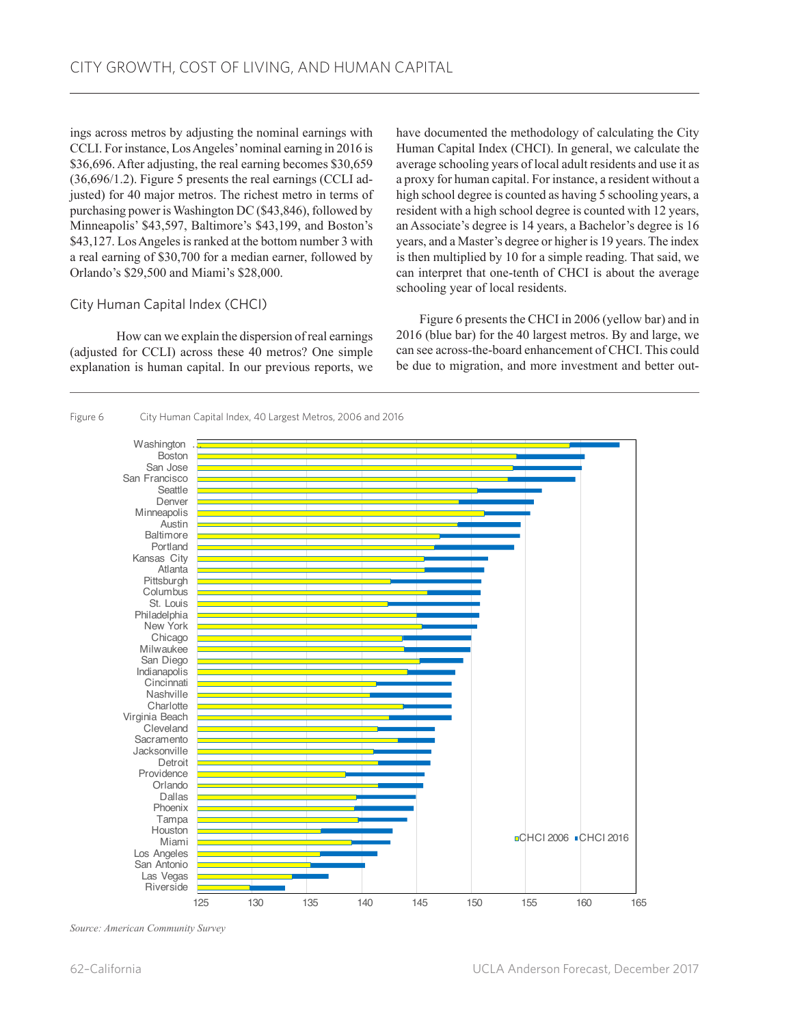ings across metros by adjusting the nominal earnings with CCLI. For instance, Los Angeles' nominal earning in 2016 is \$36,696. After adjusting, the real earning becomes \$30,659 (36,696/1.2). Figure 5 presents the real earnings (CCLI adjusted) for 40 major metros. The richest metro in terms of purchasing power is Washington DC (\$43,846), followed by Minneapolis' \$43,597, Baltimore's \$43,199, and Boston's \$43,127. Los Angeles is ranked at the bottom number 3 with a real earning of \$30,700 for a median earner, followed by Orlando's \$29,500 and Miami's \$28,000.

## City Human Capital Index (CHCI)

How can we explain the dispersion of real earnings (adjusted for CCLI) across these 40 metros? One simple explanation is human capital. In our previous reports, we have documented the methodology of calculating the City Human Capital Index (CHCI). In general, we calculate the average schooling years of local adult residents and use it as a proxy for human capital. For instance, a resident without a high school degree is counted as having 5 schooling years, a resident with a high school degree is counted with 12 years, an Associate's degree is 14 years, a Bachelor's degree is 16 years, and a Master's degree or higher is 19 years. The index is then multiplied by 10 for a simple reading. That said, we can interpret that one-tenth of CHCI is about the average schooling year of local residents.

Figure 6 presents the CHCI in 2006 (yellow bar) and in 2016 (blue bar) for the 40 largest metros. By and large, we can see across-the-board enhancement of CHCI. This could be due to migration, and more investment and better out-



Figure 6 City Human Capital Index, 40 Largest Metros, 2006 and 2016

*Source: American Community Survey*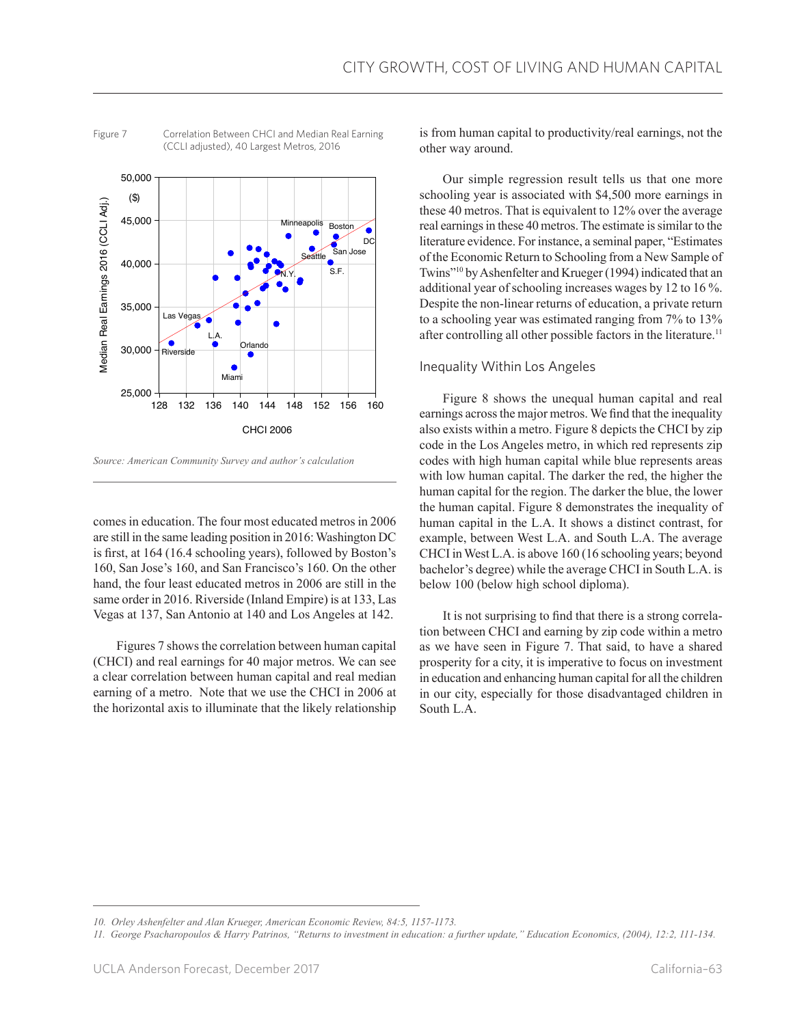

Figure 7 Correlation Between CHCI and Median Real Earning (CCLI adjusted), 40 Largest Metros, 2016

comes in education. The four most educated metros in 2006 are still in the same leading position in 2016: Washington DC is first, at 164 (16.4 schooling years), followed by Boston's 160, San Jose's 160, and San Francisco's 160. On the other hand, the four least educated metros in 2006 are still in the same order in 2016. Riverside (Inland Empire) is at 133, Las Vegas at 137, San Antonio at 140 and Los Angeles at 142.

Figures 7 shows the correlation between human capital (CHCI) and real earnings for 40 major metros. We can see a clear correlation between human capital and real median earning of a metro. Note that we use the CHCI in 2006 at the horizontal axis to illuminate that the likely relationship is from human capital to productivity/real earnings, not the other way around.

Our simple regression result tells us that one more schooling year is associated with \$4,500 more earnings in these 40 metros. That is equivalent to 12% over the average real earnings in these 40 metros. The estimate is similar to the literature evidence. For instance, a seminal paper, "Estimates of the Economic Return to Schooling from a New Sample of Twins"10 by Ashenfelter and Krueger (1994) indicated that an additional year of schooling increases wages by 12 to 16 %. Despite the non-linear returns of education, a private return to a schooling year was estimated ranging from 7% to 13% after controlling all other possible factors in the literature.<sup>11</sup>

## Inequality Within Los Angeles

Figure 8 shows the unequal human capital and real earnings across the major metros. We find that the inequality also exists within a metro. Figure 8 depicts the CHCI by zip code in the Los Angeles metro, in which red represents zip codes with high human capital while blue represents areas with low human capital. The darker the red, the higher the human capital for the region. The darker the blue, the lower the human capital. Figure 8 demonstrates the inequality of human capital in the L.A. It shows a distinct contrast, for example, between West L.A. and South L.A. The average CHCI in West L.A. is above 160 (16 schooling years; beyond bachelor's degree) while the average CHCI in South L.A. is below 100 (below high school diploma).

It is not surprising to find that there is a strong correlation between CHCI and earning by zip code within a metro as we have seen in Figure 7. That said, to have a shared prosperity for a city, it is imperative to focus on investment in education and enhancing human capital for all the children in our city, especially for those disadvantaged children in South L.A.

*Source: American Community Survey and author's calculation*

*<sup>10.</sup> Orley Ashenfelter and Alan Krueger, American Economic Review, 84:5, 1157-1173.*

*<sup>11.</sup> George Psacharopoulos & Harry Patrinos, "Returns to investment in education: a further update," Education Economics, (2004), 12:2, 111-134.*